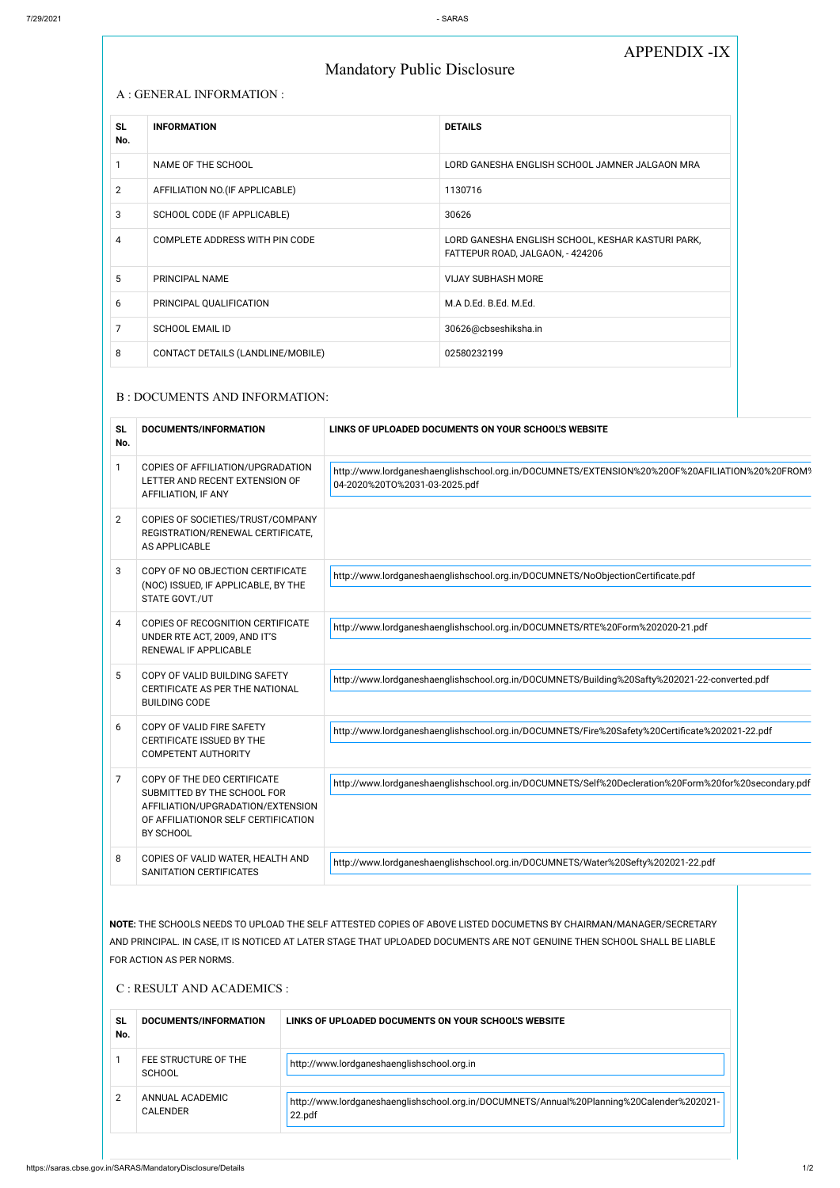## APPENDIX -IX

# Mandatory Public Disclosure

#### A : GENERAL INFORMATION :

| <b>SL</b><br>No. | <b>INFORMATION</b>                | <b>DETAILS</b>                                                                        |
|------------------|-----------------------------------|---------------------------------------------------------------------------------------|
|                  | NAME OF THE SCHOOL                | LORD GANESHA ENGLISH SCHOOL JAMNER JALGAON MRA                                        |
| $\overline{2}$   | AFFILIATION NO. (IF APPLICABLE)   | 1130716                                                                               |
| 3                | SCHOOL CODE (IF APPLICABLE)       | 30626                                                                                 |
| 4                | COMPLETE ADDRESS WITH PIN CODE    | LORD GANESHA ENGLISH SCHOOL, KESHAR KASTURI PARK,<br>FATTEPUR ROAD, JALGAON, - 424206 |
| 5                | PRINCIPAL NAME                    | <b>VIJAY SUBHASH MORE</b>                                                             |
| 6                | PRINCIPAL QUALIFICATION           | M.A D.Ed. B.Ed. M.Ed.                                                                 |
| 7                | <b>SCHOOL EMAIL ID</b>            | 30626@cbseshiksha.in                                                                  |
| 8                | CONTACT DETAILS (LANDLINE/MOBILE) | 02580232199                                                                           |

#### B : DOCUMENTS AND INFORMATION:

| <b>SL</b><br>No. | DOCUMENTS/INFORMATION                                                                                                                               | LINKS OF UPLOADED DOCUMENTS ON YOUR SCHOOL'S WEBSITE                                                                            |
|------------------|-----------------------------------------------------------------------------------------------------------------------------------------------------|---------------------------------------------------------------------------------------------------------------------------------|
| $\mathbf{1}$     | COPIES OF AFFILIATION/UPGRADATION<br>LETTER AND RECENT EXTENSION OF<br>AFFILIATION, IF ANY                                                          | http://www.lordganeshaenglishschool.org.in/DOCUMNETS/EXTENSION%20%200F%20AFILIATION%20%20FROM9<br>04-2020%20TO%2031-03-2025.pdf |
| $\overline{2}$   | COPIES OF SOCIETIES/TRUST/COMPANY<br>REGISTRATION/RENEWAL CERTIFICATE,<br>AS APPLICABLE                                                             |                                                                                                                                 |
| 3                | COPY OF NO OBJECTION CERTIFICATE<br>(NOC) ISSUED, IF APPLICABLE, BY THE<br>STATE GOVT./UT                                                           | http://www.lordganeshaenglishschool.org.in/DOCUMNETS/NoObjectionCertificate.pdf                                                 |
| 4                | COPIES OF RECOGNITION CERTIFICATE<br>UNDER RTE ACT, 2009, AND IT'S<br>RENEWAL IF APPLICABLE                                                         | http://www.lordganeshaenglishschool.org.in/DOCUMNETS/RTE%20Form%202020-21.pdf                                                   |
| 5                | COPY OF VALID BUILDING SAFETY<br>CERTIFICATE AS PER THE NATIONAL<br><b>BUILDING CODE</b>                                                            | http://www.lordganeshaenglishschool.org.in/DOCUMNETS/Building%20Safty%202021-22-converted.pdf                                   |
| 6                | COPY OF VALID FIRE SAFETY<br>CERTIFICATE ISSUED BY THE<br><b>COMPETENT AUTHORITY</b>                                                                | http://www.lordganeshaenglishschool.org.in/DOCUMNETS/Fire%20Safety%20Certificate%202021-22.pdf                                  |
| $\overline{7}$   | COPY OF THE DEO CERTIFICATE<br>SUBMITTED BY THE SCHOOL FOR<br>AFFILIATION/UPGRADATION/EXTENSION<br>OF AFFILIATIONOR SELF CERTIFICATION<br>BY SCHOOL | http://www.lordganeshaenglishschool.org.in/DOCUMNETS/Self%20Decleration%20Form%20for%20secondary.pdf                            |
| 8                | COPIES OF VALID WATER, HEALTH AND<br>SANITATION CERTIFICATES                                                                                        | http://www.lordganeshaenglishschool.org.in/DOCUMNETS/Water%20Sefty%202021-22.pdf                                                |

**NOTE:** THE SCHOOLS NEEDS TO UPLOAD THE SELF ATTESTED COPIES OF ABOVE LISTED DOCUMETNS BY CHAIRMAN/MANAGER/SECRETARY AND PRINCIPAL. IN CASE, IT IS NOTICED AT LATER STAGE THAT UPLOADED DOCUMENTS ARE NOT GENUINE THEN SCHOOL SHALL BE LIABLE FOR ACTION AS PER NORMS.

#### C : RESULT AND ACADEMICS :

| SL<br>No. | DOCUMENTS/INFORMATION                 | LINKS OF UPLOADED DOCUMENTS ON YOUR SCHOOL'S WEBSITE                                                |
|-----------|---------------------------------------|-----------------------------------------------------------------------------------------------------|
|           | FEE STRUCTURE OF THE<br><b>SCHOOL</b> | http://www.lordganeshaenglishschool.org.in                                                          |
|           | ANNUAL ACADEMIC<br><b>CALENDER</b>    | http://www.lordganeshaenglishschool.org.in/DOCUMNETS/Annual%20Planning%20Calender%202021-<br>22.pdf |